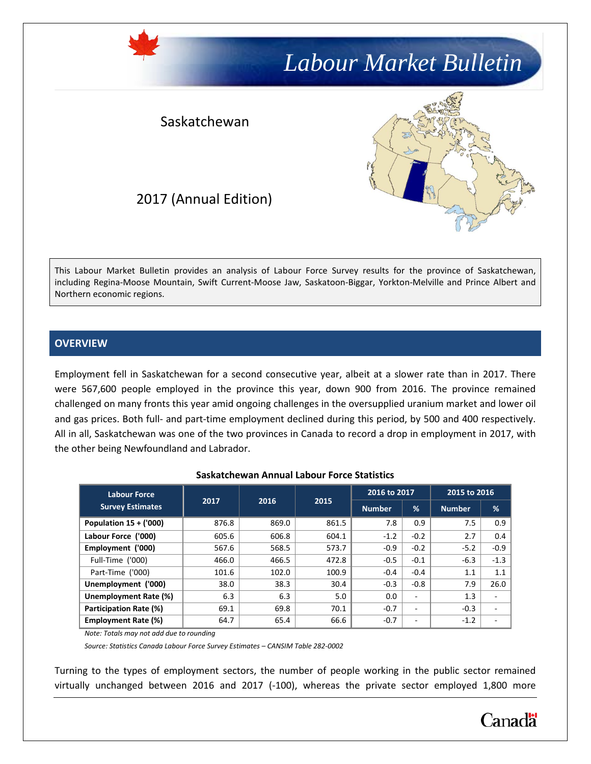# *Labour Market Bulletin*

### Saskatchewan



### 2017 (Annual Edition)

This Labour Market Bulletin provides an analysis of Labour Force Survey results for the province of Saskatchewan, including Regina-Moose Mountain, Swift Current-Moose Jaw, Saskatoon-Biggar, Yorkton-Melville and Prince Albert and Northern economic regions.

#### **OVERVIEW**

Employment fell in Saskatchewan for a second consecutive year, albeit at a slower rate than in 2017. There were 567,600 people employed in the province this year, down 900 from 2016. The province remained challenged on many fronts this year amid ongoing challenges in the oversupplied uranium market and lower oil and gas prices. Both full- and part-time employment declined during this period, by 500 and 400 respectively. All in all, Saskatchewan was one of the two provinces in Canada to record a drop in employment in 2017, with the other being Newfoundland and Labrador.

| <b>Labour Force</b>        |       |       |       | 2016 to 2017  |                          | 2015 to 2016  |        |
|----------------------------|-------|-------|-------|---------------|--------------------------|---------------|--------|
| <b>Survey Estimates</b>    | 2017  | 2016  | 2015  | <b>Number</b> | $\frac{9}{6}$            | <b>Number</b> | %      |
| Population $15 + (000)$    | 876.8 | 869.0 | 861.5 | 7.8           | 0.9                      | 7.5           | 0.9    |
| Labour Force ('000)        | 605.6 | 606.8 | 604.1 | $-1.2$        | $-0.2$                   | 2.7           | 0.4    |
| Employment ('000)          | 567.6 | 568.5 | 573.7 | $-0.9$        | $-0.2$                   | $-5.2$        | $-0.9$ |
| Full-Time ('000)           | 466.0 | 466.5 | 472.8 | $-0.5$        | $-0.1$                   | $-6.3$        | $-1.3$ |
| Part-Time ('000)           | 101.6 | 102.0 | 100.9 | $-0.4$        | $-0.4$                   | 1.1           | 1.1    |
| Unemployment ('000)        | 38.0  | 38.3  | 30.4  | $-0.3$        | $-0.8$                   | 7.9           | 26.0   |
| Unemployment Rate (%)      | 6.3   | 6.3   | 5.0   | 0.0           | $\overline{\phantom{a}}$ | 1.3           | ۰      |
| Participation Rate (%)     | 69.1  | 69.8  | 70.1  | $-0.7$        | $\overline{\phantom{m}}$ | $-0.3$        | ۰      |
| <b>Employment Rate (%)</b> | 64.7  | 65.4  | 66.6  | $-0.7$        | ۰                        | $-1.2$        |        |

#### **Saskatchewan Annual Labour Force Statistics**

*Note: Totals may not add due to rounding*

*Source: Statistics Canada Labour Force Survey Estimates – CANSIM Table 282-0002*

Turning to the types of employment sectors, the number of people working in the public sector remained virtually unchanged between 2016 and 2017 (-100), whereas the private sector employed 1,800 more

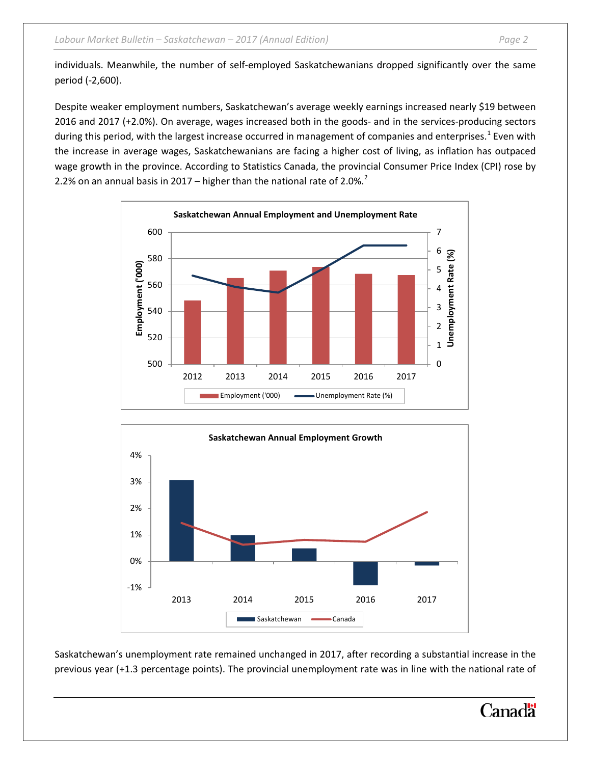individuals. Meanwhile, the number of self-employed Saskatchewanians dropped significantly over the same period (-2,600).

Despite weaker employment numbers, Saskatchewan's average weekly earnings increased nearly \$19 between 2016 and 2017 (+2.0%). On average, wages increased both in the goods- and in the services-producing sectors during this period, with the largest increase occurred in management of companies and enterprises.<sup>[1](#page-8-0)</sup> Even with the increase in average wages, Saskatchewanians are facing a higher cost of living, as inflation has outpaced wage growth in the province. According to Statistics Canada, the provincial Consumer Price Index (CPI) rose by [2](#page-8-1).2% on an annual basis in 2017 – higher than the national rate of 2.0%. $^2$ 





Saskatchewan's unemployment rate remained unchanged in 2017, after recording a substantial increase in the previous year (+1.3 percentage points). The provincial unemployment rate was in line with the national rate of

## Canadä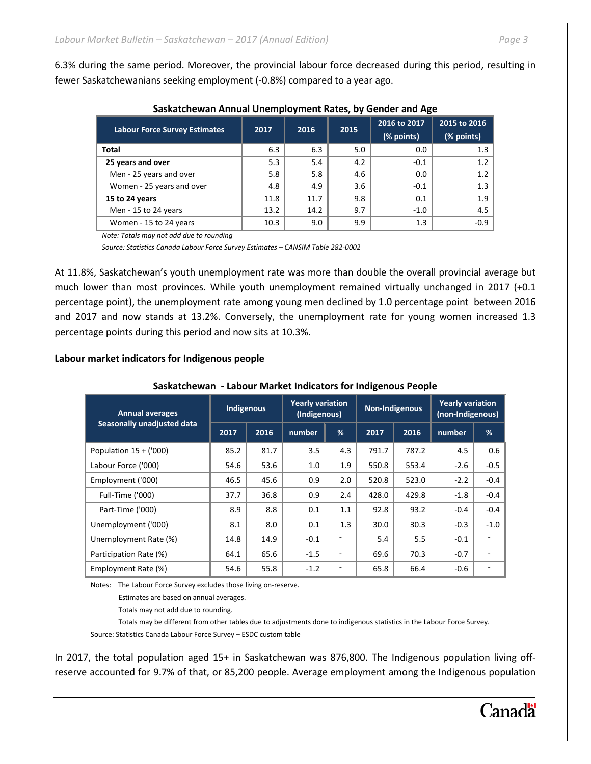6.3% during the same period. Moreover, the provincial labour force decreased during this period, resulting in fewer Saskatchewanians seeking employment (-0.8%) compared to a year ago.

|      |      |      | 2016 to 2017 | 2015 to 2016 |  |
|------|------|------|--------------|--------------|--|
|      |      |      | (% points)   | (% points)   |  |
| 6.3  | 6.3  | 5.0  | 0.0          | 1.3          |  |
| 5.3  | 5.4  | 4.2  | $-0.1$       | 1.2          |  |
| 5.8  | 5.8  | 4.6  | 0.0          | 1.2          |  |
| 4.8  | 4.9  | 3.6  | $-0.1$       | 1.3          |  |
| 11.8 | 11.7 | 9.8  | 0.1          | 1.9          |  |
| 13.2 | 14.2 | 9.7  | $-1.0$       | 4.5          |  |
| 10.3 | 9.0  | 9.9  | 1.3          | $-0.9$       |  |
|      | 2017 | 2016 | 2015         |              |  |

#### **Saskatchewan Annual Unemployment Rates, by Gender and Age**

*Note: Totals may not add due to rounding*

*Source: Statistics Canada Labour Force Survey Estimates – CANSIM Table 282-0002*

At 11.8%, Saskatchewan's youth unemployment rate was more than double the overall provincial average but much lower than most provinces. While youth unemployment remained virtually unchanged in 2017 (+0.1 percentage point), the unemployment rate among young men declined by 1.0 percentage point between 2016 and 2017 and now stands at 13.2%. Conversely, the unemployment rate for young women increased 1.3 percentage points during this period and now sits at 10.3%.

#### **Labour market indicators for Indigenous people**

#### **Saskatchewan - Labour Market Indicators for Indigenous People**

| <b>Annual averages</b>     | Indigenous |      | <b>Yearly variation</b><br>(Indigenous) |     | Non-Indigenous |       | <b>Yearly variation</b><br>(non-Indigenous) |        |
|----------------------------|------------|------|-----------------------------------------|-----|----------------|-------|---------------------------------------------|--------|
| Seasonally unadjusted data | 2017       | 2016 | number                                  | %   | 2017           | 2016  | number                                      | %      |
| Population $15 + (000)$    | 85.2       | 81.7 | 3.5                                     | 4.3 | 791.7          | 787.2 | 4.5                                         | 0.6    |
| Labour Force ('000)        | 54.6       | 53.6 | 1.0                                     | 1.9 | 550.8          | 553.4 | $-2.6$                                      | $-0.5$ |
| Employment ('000)          | 46.5       | 45.6 | 0.9                                     | 2.0 | 520.8          | 523.0 | $-2.2$                                      | $-0.4$ |
| Full-Time ('000)           | 37.7       | 36.8 | 0.9                                     | 2.4 | 428.0          | 429.8 | $-1.8$                                      | $-0.4$ |
| Part-Time ('000)           | 8.9        | 8.8  | 0.1                                     | 1.1 | 92.8           | 93.2  | $-0.4$                                      | $-0.4$ |
| Unemployment ('000)        | 8.1        | 8.0  | 0.1                                     | 1.3 | 30.0           | 30.3  | $-0.3$                                      | $-1.0$ |
| Unemployment Rate (%)      | 14.8       | 14.9 | $-0.1$                                  | ٠   | 5.4            | 5.5   | $-0.1$                                      |        |
| Participation Rate (%)     | 64.1       | 65.6 | $-1.5$                                  | -   | 69.6           | 70.3  | $-0.7$                                      |        |
| Employment Rate (%)        | 54.6       | 55.8 | $-1.2$                                  | -   | 65.8           | 66.4  | $-0.6$                                      |        |

Notes: The Labour Force Survey excludes those living on-reserve.

Estimates are based on annual averages.

Totals may not add due to rounding.

Totals may be different from other tables due to adjustments done to indigenous statistics in the Labour Force Survey.

Source: Statistics Canada Labour Force Survey – ESDC custom table

In 2017, the total population aged 15+ in Saskatchewan was 876,800. The Indigenous population living offreserve accounted for 9.7% of that, or 85,200 people. Average employment among the Indigenous population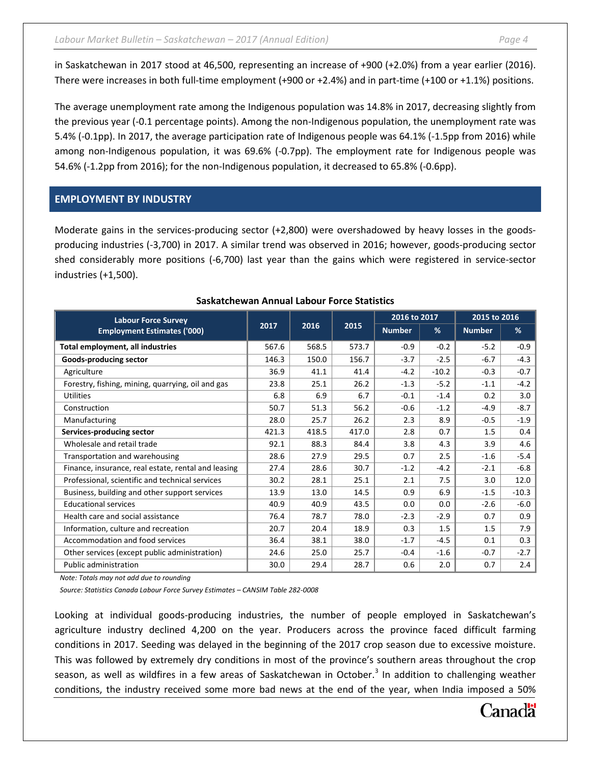in Saskatchewan in 2017 stood at 46,500, representing an increase of +900 (+2.0%) from a year earlier (2016). There were increases in both full-time employment (+900 or +2.4%) and in part-time (+100 or +1.1%) positions.

The average unemployment rate among the Indigenous population was 14.8% in 2017, decreasing slightly from the previous year (-0.1 percentage points). Among the non-Indigenous population, the unemployment rate was 5.4% (-0.1pp). In 2017, the average participation rate of Indigenous people was 64.1% (-1.5pp from 2016) while among non-Indigenous population, it was 69.6% (-0.7pp). The employment rate for Indigenous people was 54.6% (-1.2pp from 2016); for the non-Indigenous population, it decreased to 65.8% (-0.6pp).

#### **EMPLOYMENT BY INDUSTRY**

Moderate gains in the services-producing sector (+2,800) were overshadowed by heavy losses in the goodsproducing industries (-3,700) in 2017. A similar trend was observed in 2016; however, goods-producing sector shed considerably more positions (-6,700) last year than the gains which were registered in service-sector industries (+1,500).

| <b>Labour Force Survey</b>                          |       |       |       | 2016 to 2017  |         | 2015 to 2016  |         |
|-----------------------------------------------------|-------|-------|-------|---------------|---------|---------------|---------|
| <b>Employment Estimates ('000)</b>                  | 2017  | 2016  | 2015  | <b>Number</b> | %       | <b>Number</b> | %       |
| Total employment, all industries                    | 567.6 | 568.5 | 573.7 | $-0.9$        | $-0.2$  | $-5.2$        | $-0.9$  |
| Goods-producing sector                              | 146.3 | 150.0 | 156.7 | $-3.7$        | $-2.5$  | $-6.7$        | $-4.3$  |
| Agriculture                                         | 36.9  | 41.1  | 41.4  | $-4.2$        | $-10.2$ | $-0.3$        | $-0.7$  |
| Forestry, fishing, mining, quarrying, oil and gas   | 23.8  | 25.1  | 26.2  | $-1.3$        | $-5.2$  | $-1.1$        | $-4.2$  |
| <b>Utilities</b>                                    | 6.8   | 6.9   | 6.7   | $-0.1$        | $-1.4$  | 0.2           | 3.0     |
| Construction                                        | 50.7  | 51.3  | 56.2  | $-0.6$        | $-1.2$  | $-4.9$        | $-8.7$  |
| Manufacturing                                       | 28.0  | 25.7  | 26.2  | 2.3           | 8.9     | $-0.5$        | $-1.9$  |
| Services-producing sector                           | 421.3 | 418.5 | 417.0 | 2.8           | 0.7     | 1.5           | 0.4     |
| Wholesale and retail trade                          | 92.1  | 88.3  | 84.4  | 3.8           | 4.3     | 3.9           | 4.6     |
| Transportation and warehousing                      | 28.6  | 27.9  | 29.5  | 0.7           | 2.5     | $-1.6$        | $-5.4$  |
| Finance, insurance, real estate, rental and leasing | 27.4  | 28.6  | 30.7  | $-1.2$        | $-4.2$  | $-2.1$        | $-6.8$  |
| Professional, scientific and technical services     | 30.2  | 28.1  | 25.1  | 2.1           | 7.5     | 3.0           | 12.0    |
| Business, building and other support services       | 13.9  | 13.0  | 14.5  | 0.9           | 6.9     | $-1.5$        | $-10.3$ |
| <b>Educational services</b>                         | 40.9  | 40.9  | 43.5  | 0.0           | 0.0     | $-2.6$        | $-6.0$  |
| Health care and social assistance                   | 76.4  | 78.7  | 78.0  | $-2.3$        | $-2.9$  | 0.7           | 0.9     |
| Information, culture and recreation                 | 20.7  | 20.4  | 18.9  | 0.3           | 1.5     | 1.5           | 7.9     |
| Accommodation and food services                     | 36.4  | 38.1  | 38.0  | $-1.7$        | $-4.5$  | 0.1           | 0.3     |
| Other services (except public administration)       | 24.6  | 25.0  | 25.7  | $-0.4$        | $-1.6$  | $-0.7$        | $-2.7$  |
| <b>Public administration</b>                        | 30.0  | 29.4  | 28.7  | 0.6           | 2.0     | 0.7           | 2.4     |

#### **Saskatchewan Annual Labour Force Statistics**

*Note: Totals may not add due to rounding*

*Source: Statistics Canada Labour Force Survey Estimates – CANSIM Table 282-0008*

Looking at individual goods-producing industries, the number of people employed in Saskatchewan's agriculture industry declined 4,200 on the year. Producers across the province faced difficult farming conditions in 2017. Seeding was delayed in the beginning of the 2017 crop season due to excessive moisture. This was followed by extremely dry conditions in most of the province's southern areas throughout the crop season, as well as wildfires in a few areas of Saskatchewan in October. [3](#page-8-2) In addition to challenging weather conditions, the industry received some more bad news at the end of the year, when India imposed a 50%

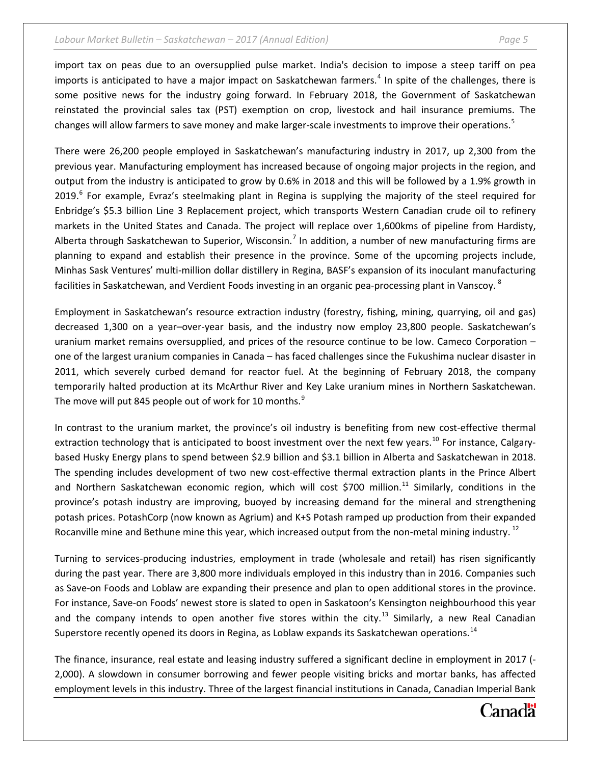#### *Labour Market Bulletin – Saskatchewan – 2017 (Annual Edition) Page 5*

import tax on peas due to an oversupplied pulse market. India's decision to impose a steep tariff on pea imports is anticipated to have a major impact on Saskatchewan farmers.<sup>[4](#page-8-3)</sup> In spite of the challenges, there is some positive news for the industry going forward. In February 2018, the Government of Saskatchewan reinstated the provincial sales tax (PST) exemption on crop, livestock and hail insurance premiums. The changes will allow farmers to save money and make larger-scale investments to improve their operations.<sup>[5](#page-8-4)</sup>

There were 26,200 people employed in Saskatchewan's manufacturing industry in 2017, up 2,300 from the previous year. Manufacturing employment has increased because of ongoing major projects in the region, and output from the industry is anticipated to grow by 0.6% in 2018 and this will be followed by a 1.9% growth in 2019.<sup>[6](#page-8-5)</sup> For example, Evraz's steelmaking plant in Regina is supplying the majority of the steel required for Enbridge's \$5.3 billion Line 3 Replacement project, which transports Western Canadian crude oil to refinery markets in the United States and Canada. The project will replace over 1,600kms of pipeline from Hardisty, Alberta through Saskatchewan to Superior, Wisconsin.<sup>[7](#page-8-6)</sup> In addition, a number of new manufacturing firms are planning to expand and establish their presence in the province. Some of the upcoming projects include, Minhas Sask Ventures' multi-million dollar distillery in Regina, BASF's expansion of its inoculant manufacturing facilities in Saskatchewan, and Verdient Foods investing in an organic pea-processing plant in Vanscoy. <sup>[8](#page-8-7)</sup>

Employment in Saskatchewan's resource extraction industry (forestry, fishing, mining, quarrying, oil and gas) decreased 1,300 on a year–over-year basis, and the industry now employ 23,800 people. Saskatchewan's uranium market remains oversupplied, and prices of the resource continue to be low. Cameco Corporation – one of the largest uranium companies in Canada – has faced challenges since the Fukushima nuclear disaster in 2011, which severely curbed demand for reactor fuel. At the beginning of February 2018, the company temporarily halted production at its McArthur River and Key Lake uranium mines in Northern Saskatchewan. The move will put 845 people out of work for 10 months.<sup>[9](#page-9-0)</sup>

In contrast to the uranium market, the province's oil industry is benefiting from new cost-effective thermal extraction technology that is anticipated to boost investment over the next few years.<sup>[10](#page-9-1)</sup> For instance, Calgarybased Husky Energy plans to spend between \$2.9 billion and \$3.1 billion in Alberta and Saskatchewan in 2018. The spending includes development of two new cost-effective thermal extraction plants in the Prince Albert and Northern Saskatchewan economic region, which will cost \$700 million.<sup>[11](#page-9-2)</sup> Similarly, conditions in the province's potash industry are improving, buoyed by increasing demand for the mineral and strengthening potash prices. PotashCorp (now known as Agrium) and K+S Potash ramped up production from their expanded Rocanville mine and Bethune mine this year, which increased output from the non-metal mining industry. <sup>[12](#page-9-3)</sup>

Turning to services-producing industries, employment in trade (wholesale and retail) has risen significantly during the past year. There are 3,800 more individuals employed in this industry than in 2016. Companies such as Save-on Foods and Loblaw are expanding their presence and plan to open additional stores in the province. For instance, Save-on Foods' newest store is slated to open in Saskatoon's Kensington neighbourhood this year and the company intends to open another five stores within the city.<sup>[13](#page-9-4)</sup> Similarly, a new Real Canadian Superstore recently opened its doors in Regina, as Loblaw expands its Saskatchewan operations.<sup>[14](#page-9-5)</sup>

The finance, insurance, real estate and leasing industry suffered a significant decline in employment in 2017 (- 2,000). A slowdown in consumer borrowing and fewer people visiting bricks and mortar banks, has affected employment levels in this industry. Three of the largest financial institutions in Canada, Canadian Imperial Bank

## Canadä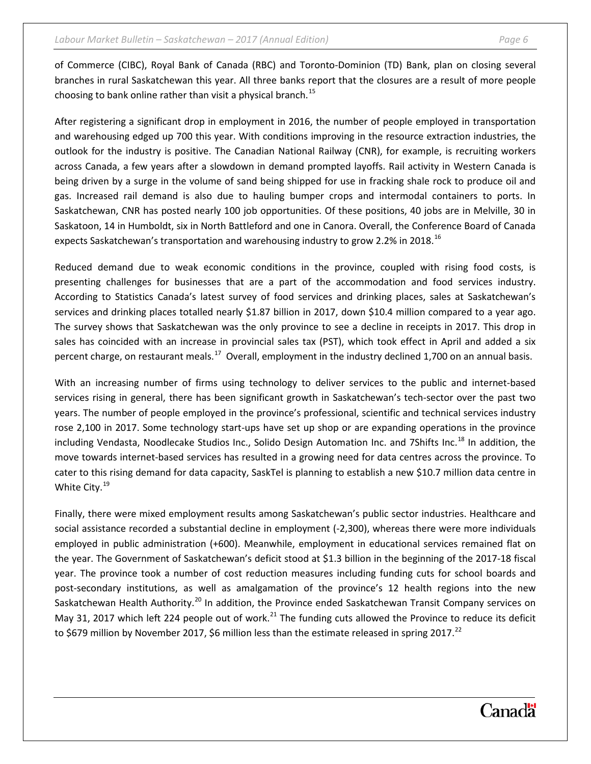of Commerce (CIBC), Royal Bank of Canada (RBC) and Toronto-Dominion (TD) Bank, plan on closing several branches in rural Saskatchewan this year. All three banks report that the closures are a result of more people choosing to bank online rather than visit a physical branch.<sup>[15](#page-9-6)</sup>

After registering a significant drop in employment in 2016, the number of people employed in transportation and warehousing edged up 700 this year. With conditions improving in the resource extraction industries, the outlook for the industry is positive. The Canadian National Railway (CNR), for example, is recruiting workers across Canada, a few years after a slowdown in demand prompted layoffs. Rail activity in Western Canada is being driven by a surge in the volume of sand being shipped for use in fracking shale rock to produce oil and gas. Increased rail demand is also due to hauling bumper crops and intermodal containers to ports. In Saskatchewan, CNR has posted nearly 100 job opportunities. Of these positions, 40 jobs are in Melville, 30 in Saskatoon, 14 in Humboldt, six in North Battleford and one in Canora. Overall, the Conference Board of Canada expects Saskatchewan's transportation and warehousing industry to grow 2.2% in 2018.<sup>[16](#page-9-7)</sup>

Reduced demand due to weak economic conditions in the province, coupled with rising food costs, is presenting challenges for businesses that are a part of the accommodation and food services industry. According to Statistics Canada's latest survey of food services and drinking places, sales at Saskatchewan's services and drinking places totalled nearly \$1.87 billion in 2017, down \$10.4 million compared to a year ago. The survey shows that Saskatchewan was the only province to see a decline in receipts in 2017. This drop in sales has coincided with an increase in provincial sales tax (PST), which took effect in April and added a six percent charge, on restaurant meals.<sup>[17](#page-10-0)</sup> Overall, employment in the industry declined 1,700 on an annual basis.

With an increasing number of firms using technology to deliver services to the public and internet-based services rising in general, there has been significant growth in Saskatchewan's tech-sector over the past two years. The number of people employed in the province's professional, scientific and technical services industry rose 2,100 in 2017. Some technology start-ups have set up shop or are expanding operations in the province including Vendasta, Noodlecake Studios Inc., Solido Design Automation Inc. and 7Shifts Inc.<sup>[18](#page-10-1)</sup> In addition, the move towards internet-based services has resulted in a growing need for data centres across the province. To cater to this rising demand for data capacity, SaskTel is planning to establish a new \$10.7 million data centre in White City.<sup>[19](#page-10-2)</sup>

Finally, there were mixed employment results among Saskatchewan's public sector industries. Healthcare and social assistance recorded a substantial decline in employment (-2,300), whereas there were more individuals employed in public administration (+600). Meanwhile, employment in educational services remained flat on the year. The Government of Saskatchewan's deficit stood at \$1.3 billion in the beginning of the 2017-18 fiscal year. The province took a number of cost reduction measures including funding cuts for school boards and post-secondary institutions, as well as amalgamation of the province's 12 health regions into the new Saskatchewan Health Authority.<sup>[20](#page-10-3)</sup> In addition, the Province ended Saskatchewan Transit Company services on May 31, 2017 which left 224 people out of work.<sup>[21](#page-10-4)</sup> The funding cuts allowed the Province to reduce its deficit to \$679 million by November 2017, \$6 million less than the estimate released in spring 2017.<sup>[22](#page-10-5)</sup>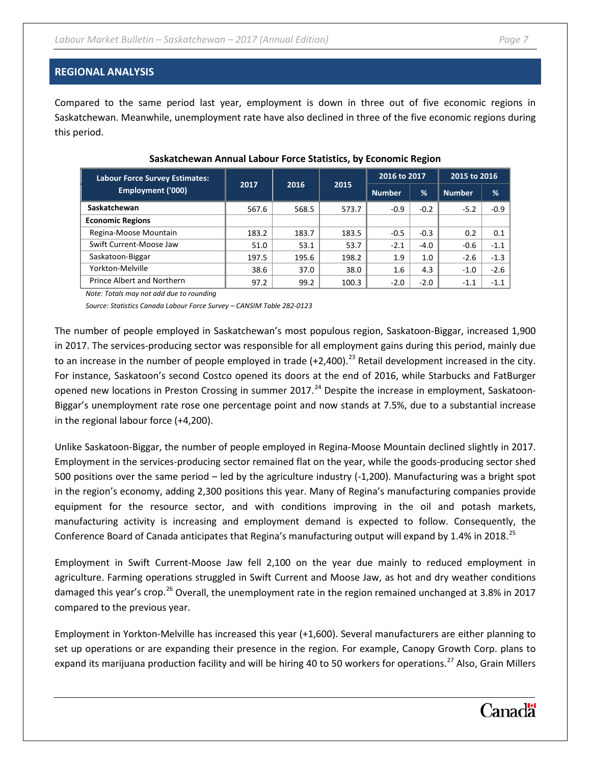#### **REGIONAL ANALYSIS**

Compared to the same period last year, employment is down in three out of five economic regions in Saskatchewan. Meanwhile, unemployment rate have also declined in three of the five economic regions during this period.

| <b>Labour Force Survey Estimates:</b> | 2017  | 2016  | 2015  | 2016 to 2017  |        | 2015 to 2016  |        |
|---------------------------------------|-------|-------|-------|---------------|--------|---------------|--------|
| Employment ('000)                     |       |       |       | <b>Number</b> | %      | <b>Number</b> | %      |
| Saskatchewan                          | 567.6 | 568.5 | 573.7 | $-0.9$        | $-0.2$ | $-5.2$        | $-0.9$ |
| <b>Economic Regions</b>               |       |       |       |               |        |               |        |
| Regina-Moose Mountain                 | 183.2 | 183.7 | 183.5 | $-0.5$        | $-0.3$ | 0.2           | 0.1    |
| Swift Current-Moose Jaw               | 51.0  | 53.1  | 53.7  | $-2.1$        | $-4.0$ | $-0.6$        | $-1.1$ |
| Saskatoon-Biggar                      | 197.5 | 195.6 | 198.2 | 1.9           | 1.0    | $-2.6$        | $-1.3$ |
| Yorkton-Melville                      | 38.6  | 37.0  | 38.0  | 1.6           | 4.3    | $-1.0$        | $-2.6$ |
| Prince Albert and Northern            | 97.2  | 99.2  | 100.3 | $-2.0$        | $-2.0$ | $-1.1$        | $-1.1$ |

#### **Saskatchewan Annual Labour Force Statistics, by Economic Region**

*Note: Totals may not add due to rounding*

*Source: Statistics Canada Labour Force Survey – CANSIM Table 282-0123*

The number of people employed in Saskatchewan's most populous region, Saskatoon-Biggar, increased 1,900 in 2017. The services-producing sector was responsible for all employment gains during this period, mainly due to an increase in the number of people employed in trade  $(+2,400)$ .<sup>[23](#page-10-6)</sup> Retail development increased in the city. For instance, Saskatoon's second Costco opened its doors at the end of 2016, while Starbucks and FatBurger opened new locations in Preston Crossing in summer 2017.<sup>[24](#page-11-0)</sup> Despite the increase in employment, Saskatoon-Biggar's unemployment rate rose one percentage point and now stands at 7.5%, due to a substantial increase in the regional labour force (+4,200).

Unlike Saskatoon-Biggar, the number of people employed in Regina-Moose Mountain declined slightly in 2017. Employment in the services-producing sector remained flat on the year, while the goods-producing sector shed 500 positions over the same period – led by the agriculture industry (-1,200). Manufacturing was a bright spot in the region's economy, adding 2,300 positions this year. Many of Regina's manufacturing companies provide equipment for the resource sector, and with conditions improving in the oil and potash markets, manufacturing activity is increasing and employment demand is expected to follow. Consequently, the Conference Board of Canada anticipates that Regina's manufacturing output will expand by 1.4% in 2018.<sup>[25](#page-11-1)</sup>

Employment in Swift Current-Moose Jaw fell 2,100 on the year due mainly to reduced employment in agriculture. Farming operations struggled in Swift Current and Moose Jaw, as hot and dry weather conditions damaged this year's crop.<sup>[26](#page-11-2)</sup> Overall, the unemployment rate in the region remained unchanged at 3.8% in 2017 compared to the previous year.

Employment in Yorkton-Melville has increased this year (+1,600). Several manufacturers are either planning to set up operations or are expanding their presence in the region. For example, Canopy Growth Corp. plans to expand its marijuana production facility and will be hiring 40 to 50 workers for operations.<sup>[27](#page-11-3)</sup> Also, Grain Millers

# **Canadä**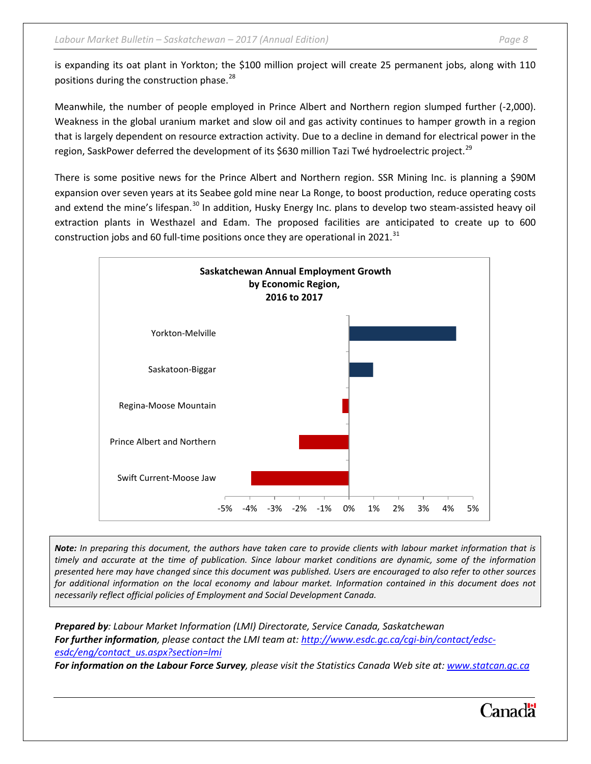is expanding its oat plant in Yorkton; the \$100 million project will create 25 permanent jobs, along with 110 positions during the construction phase.<sup>[28](#page-11-4)</sup>

Meanwhile, the number of people employed in Prince Albert and Northern region slumped further (-2,000). Weakness in the global uranium market and slow oil and gas activity continues to hamper growth in a region that is largely dependent on resource extraction activity. Due to a decline in demand for electrical power in the region, SaskPower deferred the development of its \$630 million Tazi Twé hydroelectric project.<sup>[29](#page-11-5)</sup>

There is some positive news for the Prince Albert and Northern region. SSR Mining Inc. is planning a \$90M expansion over seven years at its Seabee gold mine near La Ronge, to boost production, reduce operating costs and extend the mine's lifespan.<sup>[30](#page-11-6)</sup> In addition, Husky Energy Inc. plans to develop two steam-assisted heavy oil extraction plants in Westhazel and Edam. The proposed facilities are anticipated to create up to 600 construction jobs and 60 full-time positions once they are operational in 2021. $^{31}$  $^{31}$  $^{31}$ 



*Note: In preparing this document, the authors have taken care to provide clients with labour market information that is timely and accurate at the time of publication. Since labour market conditions are dynamic, some of the information presented here may have changed since this document was published. Users are encouraged to also refer to other sources*  for additional information on the local economy and labour market. Information contained in this document does not *necessarily reflect official policies of Employment and Social Development Canada.*

*Prepared by: Labour Market Information (LMI) Directorate, Service Canada, Saskatchewan For further information, please contact the LMI team at: [http://www.esdc.gc.ca/cgi-bin/contact/edsc](http://www.esdc.gc.ca/cgi-bin/contact/edsc-esdc/eng/contact_us.aspx?section=lmi)[esdc/eng/contact\\_us.aspx?section=lmi](http://www.esdc.gc.ca/cgi-bin/contact/edsc-esdc/eng/contact_us.aspx?section=lmi)*

*For information on the Labour Force Survey, please visit the Statistics Canada Web site at: [www.statcan.gc.ca](http://www.statcan.gc.ca/start-debut-eng.html)*

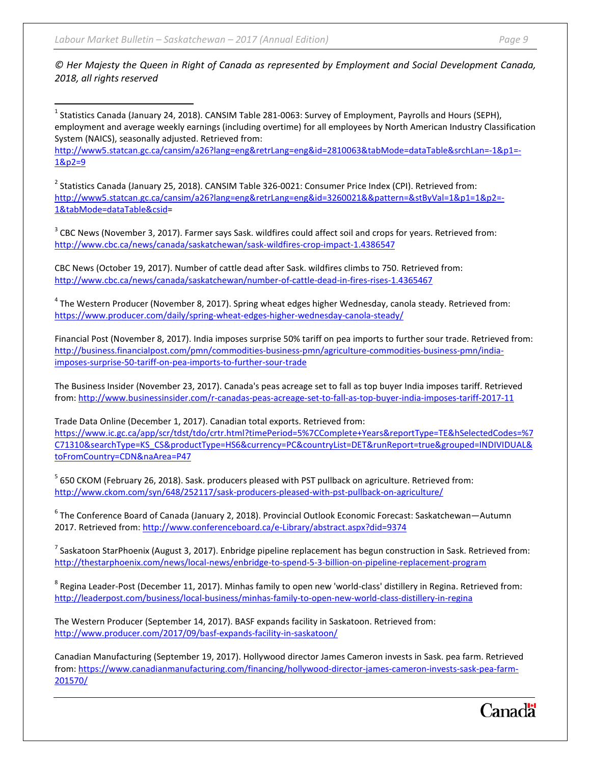#### *© Her Majesty the Queen in Right of Canada as represented by Employment and Social Development Canada, 2018, all rights reserved*

<span id="page-8-0"></span> $^1$  Statistics Canada (January 24, 2018). CANSIM Table 281-0063: Survey of Employment, Payrolls and Hours (SEPH), employment and average weekly earnings (including overtime) for all employees by North American Industry Classification System (NAICS), seasonally adjusted. Retrieved from:

[http://www5.statcan.gc.ca/cansim/a26?lang=eng&retrLang=eng&id=2810063&tabMode=dataTable&srchLan=-1&p1=-](http://www5.statcan.gc.ca/cansim/a26?lang=eng&retrLang=eng&id=2810063&tabMode=dataTable&srchLan=-1&p1=-1&p2=9) [1&p2=9](http://www5.statcan.gc.ca/cansim/a26?lang=eng&retrLang=eng&id=2810063&tabMode=dataTable&srchLan=-1&p1=-1&p2=9)

<span id="page-8-1"></span> $2$  Statistics Canada (January 25, 2018). CANSIM Table 326-0021: Consumer Price Index (CPI). Retrieved from: [http://www5.statcan.gc.ca/cansim/a26?lang=eng&retrLang=eng&id=3260021&&pattern=&stByVal=1&p1=1&p2=-](http://www5.statcan.gc.ca/cansim/a26?lang=eng&retrLang=eng&id=3260021&&pattern=&stByVal=1&p1=1&p2=-1&tabMode=dataTable&csid) [1&tabMode=dataTable&csid=](http://www5.statcan.gc.ca/cansim/a26?lang=eng&retrLang=eng&id=3260021&&pattern=&stByVal=1&p1=1&p2=-1&tabMode=dataTable&csid)

<span id="page-8-2"></span> $3$  CBC News (November 3, 2017). Farmer says Sask. wildfires could affect soil and crops for years. Retrieved from: <http://www.cbc.ca/news/canada/saskatchewan/sask-wildfires-crop-impact-1.4386547>

CBC News (October 19, 2017). Number of cattle dead after Sask. wildfires climbs to 750. Retrieved from: <http://www.cbc.ca/news/canada/saskatchewan/number-of-cattle-dead-in-fires-rises-1.4365467>

<span id="page-8-3"></span><sup>4</sup> The Western Producer (November 8, 2017). Spring wheat edges higher Wednesday, canola steady. Retrieved from: <https://www.producer.com/daily/spring-wheat-edges-higher-wednesday-canola-steady/>

Financial Post (November 8, 2017). India imposes surprise 50% tariff on pea imports to further sour trade. Retrieved from: [http://business.financialpost.com/pmn/commodities-business-pmn/agriculture-commodities-business-pmn/india](http://business.financialpost.com/pmn/commodities-business-pmn/agriculture-commodities-business-pmn/india-imposes-surprise-50-tariff-on-pea-imports-to-further-sour-trade)[imposes-surprise-50-tariff-on-pea-imports-to-further-sour-trade](http://business.financialpost.com/pmn/commodities-business-pmn/agriculture-commodities-business-pmn/india-imposes-surprise-50-tariff-on-pea-imports-to-further-sour-trade)

The Business Insider (November 23, 2017). Canada's peas acreage set to fall as top buyer India imposes tariff. Retrieved from:<http://www.businessinsider.com/r-canadas-peas-acreage-set-to-fall-as-top-buyer-india-imposes-tariff-2017-11>

Trade Data Online (December 1, 2017). Canadian total exports. Retrieved from: [https://www.ic.gc.ca/app/scr/tdst/tdo/crtr.html?timePeriod=5%7CComplete+Years&reportType=TE&hSelectedCodes=%7](https://www.ic.gc.ca/app/scr/tdst/tdo/crtr.html?timePeriod=5%7CComplete+Years&reportType=TE&hSelectedCodes=%7C71310&searchType=KS_CS&productType=HS6¤cy=PC&countryList=DET&runReport=true&grouped=INDIVIDUAL&toFromCountry=CDN&naArea=P47) [C71310&searchType=KS\\_CS&productType=HS6&currency=PC&countryList=DET&runReport=true&grouped=INDIVIDUAL&](https://www.ic.gc.ca/app/scr/tdst/tdo/crtr.html?timePeriod=5%7CComplete+Years&reportType=TE&hSelectedCodes=%7C71310&searchType=KS_CS&productType=HS6¤cy=PC&countryList=DET&runReport=true&grouped=INDIVIDUAL&toFromCountry=CDN&naArea=P47) [toFromCountry=CDN&naArea=P47](https://www.ic.gc.ca/app/scr/tdst/tdo/crtr.html?timePeriod=5%7CComplete+Years&reportType=TE&hSelectedCodes=%7C71310&searchType=KS_CS&productType=HS6¤cy=PC&countryList=DET&runReport=true&grouped=INDIVIDUAL&toFromCountry=CDN&naArea=P47)

<span id="page-8-4"></span><sup>5</sup> 650 CKOM (February 26, 2018). Sask. producers pleased with PST pullback on agriculture. Retrieved from: <http://www.ckom.com/syn/648/252117/sask-producers-pleased-with-pst-pullback-on-agriculture/>

<span id="page-8-5"></span><sup>6</sup> The Conference Board of Canada (January 2, 2018). Provincial Outlook Economic Forecast: Saskatchewan—Autumn 2017. Retrieved from:<http://www.conferenceboard.ca/e-Library/abstract.aspx?did=9374>

<span id="page-8-6"></span> $<sup>7</sup>$  Saskatoon StarPhoenix (August 3, 2017). Enbridge pipeline replacement has begun construction in Sask. Retrieved from:</sup> <http://thestarphoenix.com/news/local-news/enbridge-to-spend-5-3-billion-on-pipeline-replacement-program>

<span id="page-8-7"></span><sup>8</sup> Regina Leader-Post (December 11, 2017). Minhas family to open new 'world-class' distillery in Regina. Retrieved from: <http://leaderpost.com/business/local-business/minhas-family-to-open-new-world-class-distillery-in-regina>

The Western Producer (September 14, 2017). BASF expands facility in Saskatoon. Retrieved from: <http://www.producer.com/2017/09/basf-expands-facility-in-saskatoon/>

Canadian Manufacturing (September 19, 2017). Hollywood director James Cameron invests in Sask. pea farm. Retrieved from: [https://www.canadianmanufacturing.com/financing/hollywood-director-james-cameron-invests-sask-pea-farm-](https://www.canadianmanufacturing.com/financing/hollywood-director-james-cameron-invests-sask-pea-farm-201570/)[201570/](https://www.canadianmanufacturing.com/financing/hollywood-director-james-cameron-invests-sask-pea-farm-201570/)

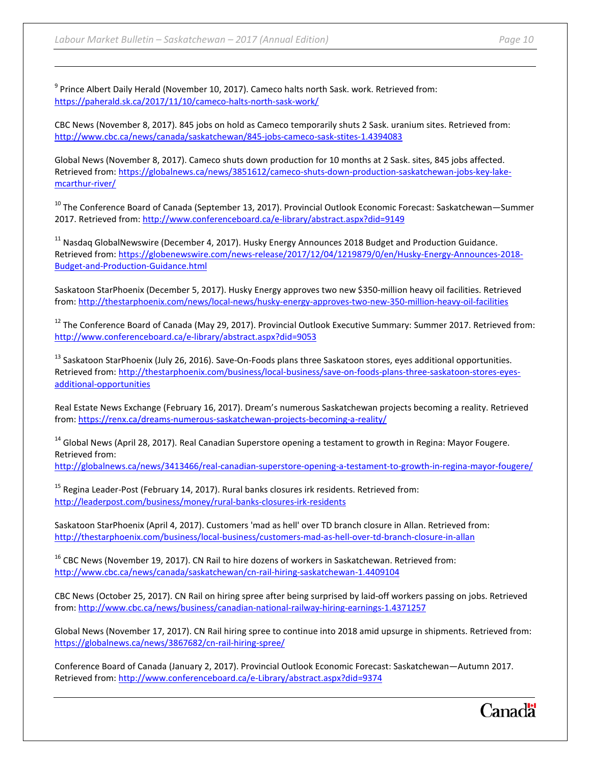l

<span id="page-9-0"></span><sup>9</sup> Prince Albert Daily Herald (November 10, 2017). Cameco halts north Sask. work. Retrieved from: <https://paherald.sk.ca/2017/11/10/cameco-halts-north-sask-work/>

CBC News (November 8, 2017). 845 jobs on hold as Cameco temporarily shuts 2 Sask. uranium sites. Retrieved from: <http://www.cbc.ca/news/canada/saskatchewan/845-jobs-cameco-sask-stites-1.4394083>

Global News (November 8, 2017). Cameco shuts down production for 10 months at 2 Sask. sites, 845 jobs affected. Retrieved from: [https://globalnews.ca/news/3851612/cameco-shuts-down-production-saskatchewan-jobs-key-lake](https://globalnews.ca/news/3851612/cameco-shuts-down-production-saskatchewan-jobs-key-lake-mcarthur-river/)[mcarthur-river/](https://globalnews.ca/news/3851612/cameco-shuts-down-production-saskatchewan-jobs-key-lake-mcarthur-river/)

<span id="page-9-1"></span><sup>10</sup> The Conference Board of Canada (September 13, 2017). Provincial Outlook Economic Forecast: Saskatchewan—Summer 2017. Retrieved from:<http://www.conferenceboard.ca/e-library/abstract.aspx?did=9149>

<span id="page-9-2"></span><sup>11</sup> Nasdaq GlobalNewswire (December 4, 2017). Husky Energy Announces 2018 Budget and Production Guidance. Retrieved from: [https://globenewswire.com/news-release/2017/12/04/1219879/0/en/Husky-Energy-Announces-2018-](https://globenewswire.com/news-release/2017/12/04/1219879/0/en/Husky-Energy-Announces-2018-Budget-and-Production-Guidance.html) [Budget-and-Production-Guidance.html](https://globenewswire.com/news-release/2017/12/04/1219879/0/en/Husky-Energy-Announces-2018-Budget-and-Production-Guidance.html)

Saskatoon StarPhoenix (December 5, 2017). Husky Energy approves two new \$350-million heavy oil facilities. Retrieved from:<http://thestarphoenix.com/news/local-news/husky-energy-approves-two-new-350-million-heavy-oil-facilities>

<span id="page-9-3"></span><sup>12</sup> The Conference Board of Canada (May 29, 2017). Provincial Outlook Executive Summary: Summer 2017. Retrieved from: <http://www.conferenceboard.ca/e-library/abstract.aspx?did=9053>

<span id="page-9-4"></span> $13$  Saskatoon StarPhoenix (July 26, 2016). Save-On-Foods plans three Saskatoon stores, eyes additional opportunities. Retrieved from: [http://thestarphoenix.com/business/local-business/save-on-foods-plans-three-saskatoon-stores-eyes](http://thestarphoenix.com/business/local-business/save-on-foods-plans-three-saskatoon-stores-eyes-additional-opportunities)[additional-opportunities](http://thestarphoenix.com/business/local-business/save-on-foods-plans-three-saskatoon-stores-eyes-additional-opportunities)

Real Estate News Exchange (February 16, 2017). Dream's numerous Saskatchewan projects becoming a reality. Retrieved from:<https://renx.ca/dreams-numerous-saskatchewan-projects-becoming-a-reality/>

<span id="page-9-5"></span><sup>14</sup> Global News (April 28, 2017). Real Canadian Superstore opening a testament to growth in Regina: Mayor Fougere. Retrieved from:

<http://globalnews.ca/news/3413466/real-canadian-superstore-opening-a-testament-to-growth-in-regina-mayor-fougere/>

<span id="page-9-6"></span> $15$  Regina Leader-Post (February 14, 2017). Rural banks closures irk residents. Retrieved from: <http://leaderpost.com/business/money/rural-banks-closures-irk-residents>

Saskatoon StarPhoenix (April 4, 2017). Customers 'mad as hell' over TD branch closure in Allan. Retrieved from: <http://thestarphoenix.com/business/local-business/customers-mad-as-hell-over-td-branch-closure-in-allan>

<span id="page-9-7"></span><sup>16</sup> CBC News (November 19, 2017). CN Rail to hire dozens of workers in Saskatchewan. Retrieved from: <http://www.cbc.ca/news/canada/saskatchewan/cn-rail-hiring-saskatchewan-1.4409104>

CBC News (October 25, 2017). CN Rail on hiring spree after being surprised by laid-off workers passing on jobs. Retrieved from:<http://www.cbc.ca/news/business/canadian-national-railway-hiring-earnings-1.4371257>

Global News (November 17, 2017). CN Rail hiring spree to continue into 2018 amid upsurge in shipments. Retrieved from: <https://globalnews.ca/news/3867682/cn-rail-hiring-spree/>

Conference Board of Canada (January 2, 2017). Provincial Outlook Economic Forecast: Saskatchewan—Autumn 2017. Retrieved from:<http://www.conferenceboard.ca/e-Library/abstract.aspx?did=9374>

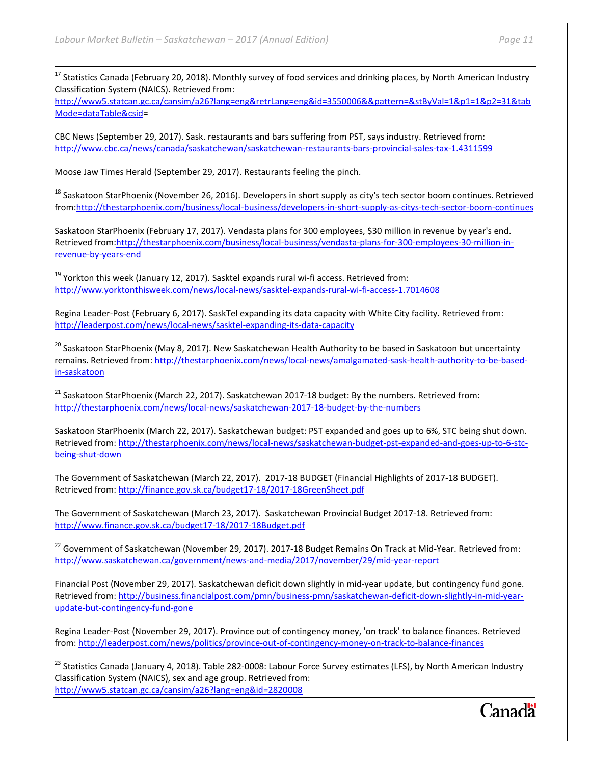<span id="page-10-0"></span> $17$  Statistics Canada (February 20, 2018). Monthly survey of food services and drinking places, by North American Industry Classification System (NAICS). Retrieved from:

[http://www5.statcan.gc.ca/cansim/a26?lang=eng&retrLang=eng&id=3550006&&pattern=&stByVal=1&p1=1&p2=31&tab](http://www5.statcan.gc.ca/cansim/a26?lang=eng&retrLang=eng&id=3550006&&pattern=&stByVal=1&p1=1&p2=31&tabMode=dataTable&csid) [Mode=dataTable&csid=](http://www5.statcan.gc.ca/cansim/a26?lang=eng&retrLang=eng&id=3550006&&pattern=&stByVal=1&p1=1&p2=31&tabMode=dataTable&csid)

CBC News (September 29, 2017). Sask. restaurants and bars suffering from PST, says industry. Retrieved from: <http://www.cbc.ca/news/canada/saskatchewan/saskatchewan-restaurants-bars-provincial-sales-tax-1.4311599>

Moose Jaw Times Herald (September 29, 2017). Restaurants feeling the pinch.

<span id="page-10-1"></span><sup>18</sup> Saskatoon StarPhoenix (November 26, 2016). Developers in short supply as city's tech sector boom continues. Retrieved from[:http://thestarphoenix.com/business/local-business/developers-in-short-supply-as-citys-tech-sector-boom-continues](http://thestarphoenix.com/business/local-business/developers-in-short-supply-as-citys-tech-sector-boom-continues)

Saskatoon StarPhoenix (February 17, 2017). Vendasta plans for 300 employees, \$30 million in revenue by year's end. Retrieved from[:http://thestarphoenix.com/business/local-business/vendasta-plans-for-300-employees-30-million-in](http://thestarphoenix.com/business/local-business/vendasta-plans-for-300-employees-30-million-in-revenue-by-years-end)[revenue-by-years-end](http://thestarphoenix.com/business/local-business/vendasta-plans-for-300-employees-30-million-in-revenue-by-years-end)

<span id="page-10-2"></span> $19$  Yorkton this week (January 12, 2017). Sasktel expands rural wi-fi access. Retrieved from: <http://www.yorktonthisweek.com/news/local-news/sasktel-expands-rural-wi-fi-access-1.7014608>

Regina Leader-Post (February 6, 2017). SaskTel expanding its data capacity with White City facility. Retrieved from: <http://leaderpost.com/news/local-news/sasktel-expanding-its-data-capacity>

<span id="page-10-3"></span><sup>20</sup> Saskatoon StarPhoenix (May 8, 2017). New Saskatchewan Health Authority to be based in Saskatoon but uncertainty remains. Retrieved from[: http://thestarphoenix.com/news/local-news/amalgamated-sask-health-authority-to-be-based](http://thestarphoenix.com/news/local-news/amalgamated-sask-health-authority-to-be-based-in-saskatoon)[in-saskatoon](http://thestarphoenix.com/news/local-news/amalgamated-sask-health-authority-to-be-based-in-saskatoon)

<span id="page-10-4"></span><sup>21</sup> Saskatoon StarPhoenix (March 22, 2017). Saskatchewan 2017-18 budget: By the numbers. Retrieved from: <http://thestarphoenix.com/news/local-news/saskatchewan-2017-18-budget-by-the-numbers>

Saskatoon StarPhoenix (March 22, 2017). Saskatchewan budget: PST expanded and goes up to 6%, STC being shut down. Retrieved from: [http://thestarphoenix.com/news/local-news/saskatchewan-budget-pst-expanded-and-goes-up-to-6-stc](http://thestarphoenix.com/news/local-news/saskatchewan-budget-pst-expanded-and-goes-up-to-6-stc-being-shut-down)[being-shut-down](http://thestarphoenix.com/news/local-news/saskatchewan-budget-pst-expanded-and-goes-up-to-6-stc-being-shut-down)

The Government of Saskatchewan (March 22, 2017). 2017-18 BUDGET (Financial Highlights of 2017-18 BUDGET). Retrieved from:<http://finance.gov.sk.ca/budget17-18/2017-18GreenSheet.pdf>

The Government of Saskatchewan (March 23, 2017). Saskatchewan Provincial Budget 2017-18. Retrieved from: <http://www.finance.gov.sk.ca/budget17-18/2017-18Budget.pdf>

<span id="page-10-5"></span><sup>22</sup> Government of Saskatchewan (November 29, 2017). 2017-18 Budget Remains On Track at Mid-Year. Retrieved from: <http://www.saskatchewan.ca/government/news-and-media/2017/november/29/mid-year-report>

Financial Post (November 29, 2017). Saskatchewan deficit down slightly in mid-year update, but contingency fund gone. Retrieved from: [http://business.financialpost.com/pmn/business-pmn/saskatchewan-deficit-down-slightly-in-mid-year](http://business.financialpost.com/pmn/business-pmn/saskatchewan-deficit-down-slightly-in-mid-year-update-but-contingency-fund-gone)[update-but-contingency-fund-gone](http://business.financialpost.com/pmn/business-pmn/saskatchewan-deficit-down-slightly-in-mid-year-update-but-contingency-fund-gone)

Regina Leader-Post (November 29, 2017). Province out of contingency money, 'on track' to balance finances. Retrieved from:<http://leaderpost.com/news/politics/province-out-of-contingency-money-on-track-to-balance-finances>

<span id="page-10-6"></span><sup>23</sup> Statistics Canada (January 4, 2018). Table 282-0008: Labour Force Survey estimates (LFS), by North American Industry Classification System (NAICS), sex and age group. Retrieved from: <http://www5.statcan.gc.ca/cansim/a26?lang=eng&id=2820008>